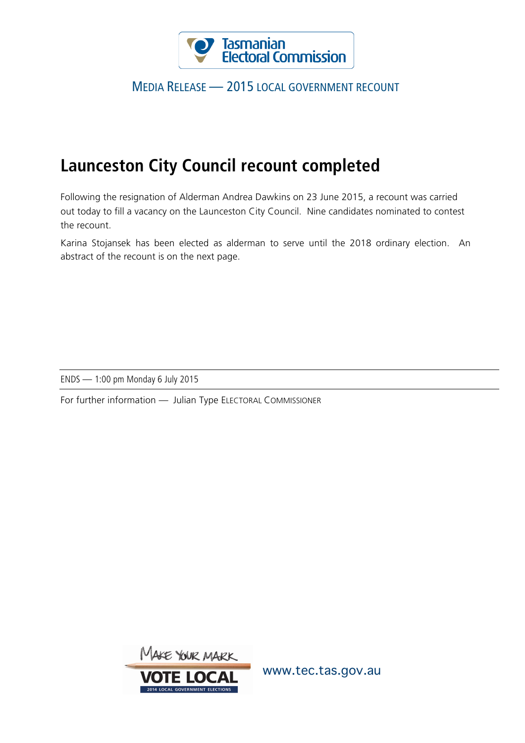

## MEDIA RELEASE — 2015 LOCAL GOVERNMENT RECOUNT

## **Launceston City Council recount completed**

Following the resignation of Alderman Andrea Dawkins on 23 June 2015, a recount was carried out today to fill a vacancy on the Launceston City Council. Nine candidates nominated to contest the recount.

Karina Stojansek has been elected as alderman to serve until the 2018 ordinary election. An abstract of the recount is on the next page.

ENDS — 1:00 pm Monday 6 July 2015

For further information — Julian Type ELECTORAL COMMISSIONER



www.tec.tas.gov.au